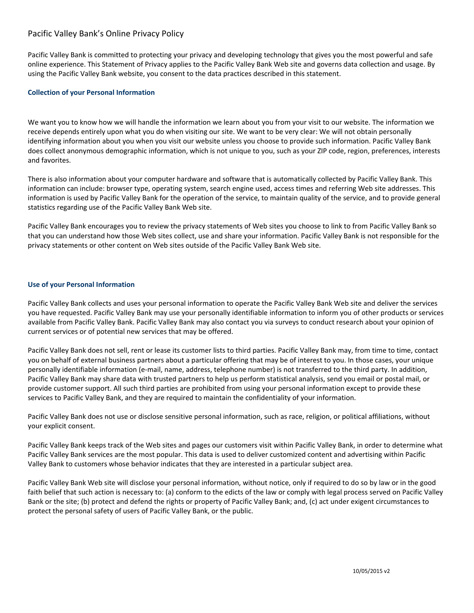# Pacific Valley Bank's Online Privacy Policy

Pacific Valley Bank is committed to protecting your privacy and developing technology that gives you the most powerful and safe online experience. This Statement of Privacy applies to the Pacific Valley Bank Web site and governs data collection and usage. By using the Pacific Valley Bank website, you consent to the data practices described in this statement.

## **Collection of your Personal Information**

We want you to know how we will handle the information we learn about you from your visit to our website. The information we receive depends entirely upon what you do when visiting our site. We want to be very clear: We will not obtain personally identifying information about you when you visit our website unless you choose to provide such information. Pacific Valley Bank does collect anonymous demographic information, which is not unique to you, such as your ZIP code, region, preferences, interests and favorites.

There is also information about your computer hardware and software that is automatically collected by Pacific Valley Bank. This information can include: browser type, operating system, search engine used, access times and referring Web site addresses. This information is used by Pacific Valley Bank for the operation of the service, to maintain quality of the service, and to provide general statistics regarding use of the Pacific Valley Bank Web site.

Pacific Valley Bank encourages you to review the privacy statements of Web sites you choose to link to from Pacific Valley Bank so that you can understand how those Web sites collect, use and share your information. Pacific Valley Bank is not responsible for the privacy statements or other content on Web sites outside of the Pacific Valley Bank Web site.

# **Use of your Personal Information**

Pacific Valley Bank collects and uses your personal information to operate the Pacific Valley Bank Web site and deliver the services you have requested. Pacific Valley Bank may use your personally identifiable information to inform you of other products or services available from Pacific Valley Bank. Pacific Valley Bank may also contact you via surveys to conduct research about your opinion of current services or of potential new services that may be offered.

Pacific Valley Bank does not sell, rent or lease its customer lists to third parties. Pacific Valley Bank may, from time to time, contact you on behalf of external business partners about a particular offering that may be of interest to you. In those cases, your unique personally identifiable information (e-mail, name, address, telephone number) is not transferred to the third party. In addition, Pacific Valley Bank may share data with trusted partners to help us perform statistical analysis, send you email or postal mail, or provide customer support. All such third parties are prohibited from using your personal information except to provide these services to Pacific Valley Bank, and they are required to maintain the confidentiality of your information.

Pacific Valley Bank does not use or disclose sensitive personal information, such as race, religion, or political affiliations, without your explicit consent.

Pacific Valley Bank keeps track of the Web sites and pages our customers visit within Pacific Valley Bank, in order to determine what Pacific Valley Bank services are the most popular. This data is used to deliver customized content and advertising within Pacific Valley Bank to customers whose behavior indicates that they are interested in a particular subject area.

Pacific Valley Bank Web site will disclose your personal information, without notice, only if required to do so by law or in the good faith belief that such action is necessary to: (a) conform to the edicts of the law or comply with legal process served on Pacific Valley Bank or the site; (b) protect and defend the rights or property of Pacific Valley Bank; and, (c) act under exigent circumstances to protect the personal safety of users of Pacific Valley Bank, or the public.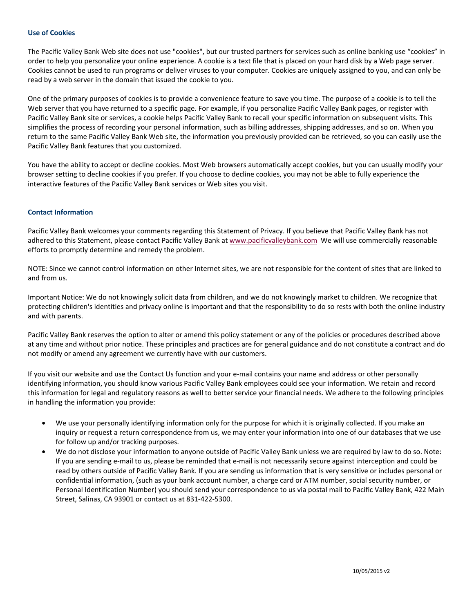#### **Use of Cookies**

The Pacific Valley Bank Web site does not use "cookies", but our trusted partners for services such as online banking use "cookies" in order to help you personalize your online experience. A cookie is a text file that is placed on your hard disk by a Web page server. Cookies cannot be used to run programs or deliver viruses to your computer. Cookies are uniquely assigned to you, and can only be read by a web server in the domain that issued the cookie to you.

One of the primary purposes of cookies is to provide a convenience feature to save you time. The purpose of a cookie is to tell the Web server that you have returned to a specific page. For example, if you personalize Pacific Valley Bank pages, or register with Pacific Valley Bank site or services, a cookie helps Pacific Valley Bank to recall your specific information on subsequent visits. This simplifies the process of recording your personal information, such as billing addresses, shipping addresses, and so on. When you return to the same Pacific Valley Bank Web site, the information you previously provided can be retrieved, so you can easily use the Pacific Valley Bank features that you customized.

You have the ability to accept or decline cookies. Most Web browsers automatically accept cookies, but you can usually modify your browser setting to decline cookies if you prefer. If you choose to decline cookies, you may not be able to fully experience the interactive features of the Pacific Valley Bank services or Web sites you visit.

## **Contact Information**

Pacific Valley Bank welcomes your comments regarding this Statement of Privacy. If you believe that Pacific Valley Bank has not adhered to this Statement, please contact Pacific Valley Bank at www.pacificvalleybank.com We will use commercially reasonable efforts to promptly determine and remedy the problem.

NOTE: Since we cannot control information on other Internet sites, we are not responsible for the content of sites that are linked to and from us.

Important Notice: We do not knowingly solicit data from children, and we do not knowingly market to children. We recognize that protecting children's identities and privacy online is important and that the responsibility to do so rests with both the online industry and with parents.

Pacific Valley Bank reserves the option to alter or amend this policy statement or any of the policies or procedures described above at any time and without prior notice. These principles and practices are for general guidance and do not constitute a contract and do not modify or amend any agreement we currently have with our customers.

If you visit our website and use the Contact Us function and your e-mail contains your name and address or other personally identifying information, you should know various Pacific Valley Bank employees could see your information. We retain and record this information for legal and regulatory reasons as well to better service your financial needs. We adhere to the following principles in handling the information you provide:

- We use your personally identifying information only for the purpose for which it is originally collected. If you make an inquiry or request a return correspondence from us, we may enter your information into one of our databases that we use for follow up and/or tracking purposes.
- We do not disclose your information to anyone outside of Pacific Valley Bank unless we are required by law to do so. Note: If you are sending e-mail to us, please be reminded that e-mail is not necessarily secure against interception and could be read by others outside of Pacific Valley Bank. If you are sending us information that is very sensitive or includes personal or confidential information, (such as your bank account number, a charge card or ATM number, social security number, or Personal Identification Number) you should send your correspondence to us via postal mail to Pacific Valley Bank, 422 Main Street, Salinas, CA 93901 or contact us at 831-422-5300.